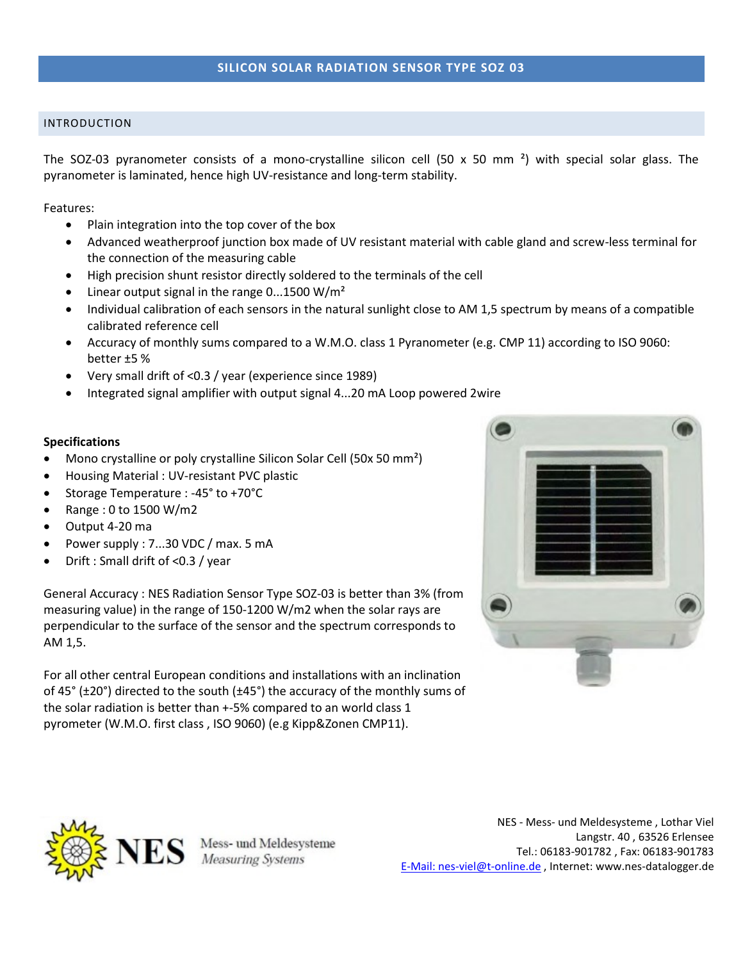# INTRODUCTION

The SOZ-03 pyranometer consists of a mono-crystalline silicon cell (50 x 50 mm<sup>2</sup>) with special solar glass. The pyranometer is laminated, hence high UV-resistance and long-term stability.

Features:

- Plain integration into the top cover of the box
- Advanced weatherproof junction box made of UV resistant material with cable gland and screw-less terminal for the connection of the measuring cable
- High precision shunt resistor directly soldered to the terminals of the cell
- Linear output signal in the range 0...1500 W/m²
- Individual calibration of each sensors in the natural sunlight close to AM 1,5 spectrum by means of a compatible calibrated reference cell
- Accuracy of monthly sums compared to a W.M.O. class 1 Pyranometer (e.g. CMP 11) according to ISO 9060: better ±5 %
- Very small drift of <0.3 / year (experience since 1989)
- Integrated signal amplifier with output signal 4...20 mA Loop powered 2wire

## **Specifications**

- Mono crystalline or poly crystalline Silicon Solar Cell (50x 50 mm<sup>2</sup>)
- Housing Material : UV-resistant PVC plastic
- Storage Temperature : -45° to +70°C
- Range : 0 to 1500 W/m2
- Output 4-20 ma
- Power supply : 7...30 VDC / max. 5 mA
- Drift : Small drift of <0.3 / year

General Accuracy : NES Radiation Sensor Type SOZ-03 is better than 3% (from measuring value) in the range of 150-1200 W/m2 when the solar rays are perpendicular to the surface of the sensor and the spectrum corresponds to AM 1,5.

For all other central European conditions and installations with an inclination of 45 $\degree$  ( $\pm$ 20 $\degree$ ) directed to the south ( $\pm$ 45 $\degree$ ) the accuracy of the monthly sums of the solar radiation is better than +-5% compared to an world class 1 pyrometer (W.M.O. first class , ISO 9060) (e.g Kipp&Zonen CMP11).





Mess- und Meldesysteme **Measuring Systems** 

NES - Mess- und Meldesysteme , Lothar Viel Langstr. 40 , 63526 Erlensee Tel.: 06183-901782 , Fax: 06183-901783 [E-Mail: nes-viel@t-online.de](mailto:nes-viel@t-online.de) , Internet: www.nes-datalogger.de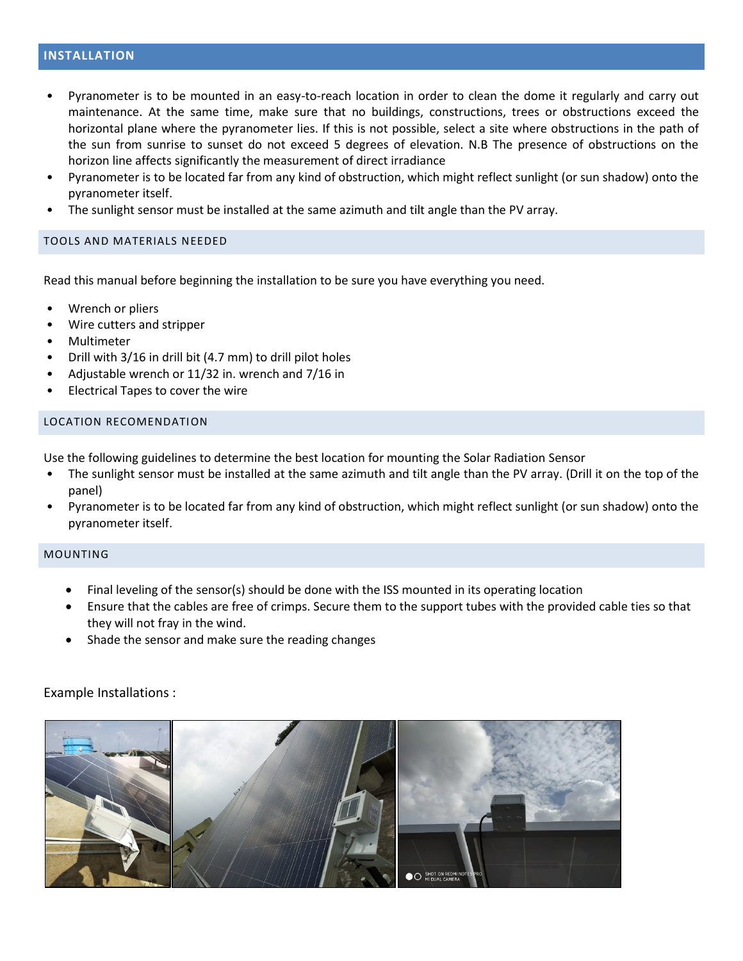## **INSTALLATION**

- Pyranometer is to be mounted in an easy-to-reach location in order to clean the dome it regularly and carry out maintenance. At the same time, make sure that no buildings, constructions, trees or obstructions exceed the horizontal plane where the pyranometer lies. If this is not possible, select a site where obstructions in the path of the sun from sunrise to sunset do not exceed 5 degrees of elevation. N.B The presence of obstructions on the horizon line affects significantly the measurement of direct irradiance
- Pyranometer is to be located far from any kind of obstruction, which might reflect sunlight (or sun shadow) onto the pyranometer itself.
- The sunlight sensor must be installed at the same azimuth and tilt angle than the PV array.

#### TOOLS AND MATERIALS NEEDED

Read this manual before beginning the installation to be sure you have everything you need.

- Wrench or pliers
- Wire cutters and stripper
- Multimeter
- Drill with 3/16 in drill bit (4.7 mm) to drill pilot holes
- Adjustable wrench or 11/32 in. wrench and 7/16 in
- Electrical Tapes to cover the wire

### LOCATION RECOMENDATION

Use the following guidelines to determine the best location for mounting the Solar Radiation Sensor

- The sunlight sensor must be installed at the same azimuth and tilt angle than the PV array. (Drill it on the top of the panel)
- Pyranometer is to be located far from any kind of obstruction, which might reflect sunlight (or sun shadow) onto the pyranometer itself.

#### MOUNTING

- Final leveling of the sensor(s) should be done with the ISS mounted in its operating location
- Ensure that the cables are free of crimps. Secure them to the support tubes with the provided cable ties so that they will not fray in the wind.
- Shade the sensor and make sure the reading changes

### Example Installations :